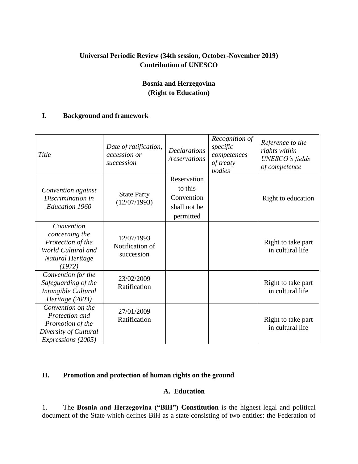## **Universal Periodic Review (34th session, October-November 2019) Contribution of UNESCO**

## **Bosnia and Herzegovina (Right to Education)**

### **I. Background and framework**

| Title                                                                                                         | Date of ratification,<br>accession or<br>succession | <b>Declarations</b><br>/reservations                              | Recognition of<br>specific<br>competences<br>of treaty<br>bodies | Reference to the<br>rights within<br>UNESCO's fields<br>of competence |
|---------------------------------------------------------------------------------------------------------------|-----------------------------------------------------|-------------------------------------------------------------------|------------------------------------------------------------------|-----------------------------------------------------------------------|
| Convention against<br>Discrimination in<br><b>Education 1960</b>                                              | <b>State Party</b><br>(12/07/1993)                  | Reservation<br>to this<br>Convention<br>shall not be<br>permitted |                                                                  | Right to education                                                    |
| Convention<br>concerning the<br>Protection of the<br>World Cultural and<br>Natural Heritage<br>(1972)         | 12/07/1993<br>Notification of<br>succession         |                                                                   |                                                                  | Right to take part<br>in cultural life                                |
| Convention for the<br>Safeguarding of the<br>Intangible Cultural<br>Heritage (2003)                           | 23/02/2009<br>Ratification                          |                                                                   |                                                                  | Right to take part<br>in cultural life                                |
| Convention on the<br>Protection and<br>Promotion of the<br>Diversity of Cultural<br><i>Expressions</i> (2005) | 27/01/2009<br>Ratification                          |                                                                   |                                                                  | Right to take part<br>in cultural life                                |

# **II. Promotion and protection of human rights on the ground**

## **A. Education**

1. The **Bosnia and Herzegovina ("BiH") Constitution** is the highest legal and political document of the State which defines BiH as a state consisting of two entities: the Federation of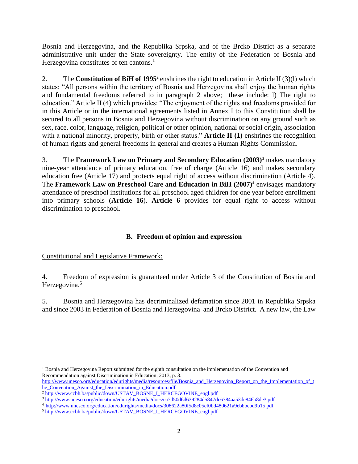Bosnia and Herzegovina, and the Republika Srpska, and of the Brcko District as a separate administrative unit under the State sovereignty. The entity of the Federation of Bosnia and Herzegovina constitutes of ten cantons. $<sup>1</sup>$ </sup>

2. The **Constitution of BiH of 1995**<sup>2</sup> enshrines the right to education in Article II (3)(l) which states: "All persons within the territory of Bosnia and Herzegovina shall enjoy the human rights and fundamental freedoms referred to in paragraph 2 above; these include: l) The right to education." Article II (4) which provides: "The enjoyment of the rights and freedoms provided for in this Article or in the international agreements listed in Annex I to this Constitution shall be secured to all persons in Bosnia and Herzegovina without discrimination on any ground such as sex, race, color, language, religion, political or other opinion, national or social origin, association with a national minority, property, birth or other status." **Article II (1)** enshrines the recognition of human rights and general freedoms in general and creates a Human Rights Commission.

3. The **Framework Law on Primary and Secondary Education (2003)**<sup>3</sup> makes mandatory nine-year attendance of primary education, free of charge (Article 16) and makes secondary education free (Article 17) and protects equal right of access without discrimination (Article 4). The **Framework Law on Preschool Care and Education in BiH (2007)**<sup>4</sup> envisages mandatory attendance of preschool institutions for all preschool aged children for one year before enrollment into primary schools (**Article 16**). **Article 6** provides for equal right to access without discrimination to preschool.

## **B. Freedom of opinion and expression**

#### Constitutional and Legislative Framework:

4. Freedom of expression is guaranteed under Article 3 of the Constitution of Bosnia and Herzegovina.<sup>5</sup>

5. Bosnia and Herzegovina has decriminalized defamation since 2001 in Republika Srpska and since 2003 in Federation of Bosnia and Herzegovina and Brcko District. A new law, the Law

 $\overline{a}$ <sup>1</sup> Bosnia and Herzegovina Report submitted for the eighth consultation on the implementation of the Convention and Recommendation against Discrimination in Education, 2013, p. 3.

[http://www.unesco.org/education/edurights/media/resources/file/Bosnia\\_and\\_Herzegovina\\_Report\\_on\\_the\\_Implementation\\_of\\_t](http://www.unesco.org/education/edurights/media/resources/file/Bosnia_and_Herzegovina_Report_on_the_Implementation_of_the_Convention_Against_the_Discrimination_in_Education.pdf) [he\\_Convention\\_Against\\_the\\_Discrimination\\_in\\_Education.pdf](http://www.unesco.org/education/edurights/media/resources/file/Bosnia_and_Herzegovina_Report_on_the_Implementation_of_the_Convention_Against_the_Discrimination_in_Education.pdf)

<sup>&</sup>lt;sup>2</sup> [http://www.ccbh.ba/public/down/USTAV\\_BOSNE\\_I\\_HERCEGOVINE\\_engl.pdf](http://www.ccbh.ba/public/down/USTAV_BOSNE_I_HERCEGOVINE_engl.pdf)

<sup>3</sup> <http://www.unesco.org/education/edurights/media/docs/ea7d50d6d639284d5847dc6784aa53de846b8de3.pdf>

<sup>4</sup><http://www.unesco.org/education/edurights/media/docs/308622a80f5d8c05cf0bd480621a9ebbbcbd9b15.pdf>

<sup>&</sup>lt;sup>5</sup> [http://www.ccbh.ba/public/down/USTAV\\_BOSNE\\_I\\_HERCEGOVINE\\_engl.pdf](http://www.ccbh.ba/public/down/USTAV_BOSNE_I_HERCEGOVINE_engl.pdf)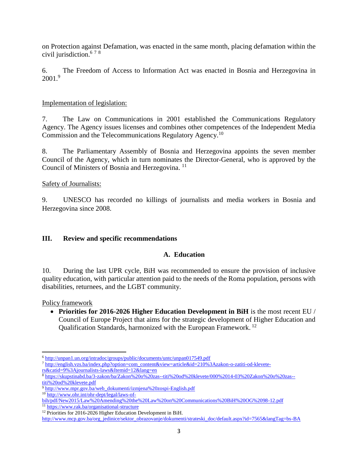on Protection against Defamation, was enacted in the same month, placing defamation within the civil jurisdiction.<sup>6 7 8</sup>

6. The Freedom of Access to Information Act was enacted in Bosnia and Herzegovina in 2001.<sup>9</sup>

#### Implementation of legislation:

7. The Law on Communications in 2001 established the Communications Regulatory Agency. The Agency issues licenses and combines other competences of the Independent Media Commission and the Telecommunications Regulatory Agency.<sup>10</sup>

8. The Parliamentary Assembly of Bosnia and Herzegovina appoints the seven member Council of the Agency, which in turn nominates the Director-General, who is approved by the Council of Ministers of Bosnia and Herzegovina.<sup>11</sup>

Safety of Journalists:

9. UNESCO has recorded no killings of journalists and media workers in Bosnia and Herzegovina since 2008.

#### **III. Review and specific recommendations**

#### **A. Education**

10. During the last UPR cycle, BiH was recommended to ensure the provision of inclusive quality education, with particular attention paid to the needs of the Roma population, persons with disabilities, returnees, and the LGBT community.

Policy framework

 $\overline{\phantom{a}}$ 

 **Priorities for 2016-2026 Higher Education Development in BiH** is the most recent EU / Council of Europe Project that aims for the strategic development of Higher Education and Qualification Standards, harmonized with the European Framework. 12

<sup>6</sup> <http://unpan1.un.org/intradoc/groups/public/documents/untc/unpan017549.pdf>

<sup>7</sup> [http://english.vzs.ba/index.php?option=com\\_content&view=article&id=210%3Azakon-o-zatiti-od-klevete](http://english.vzs.ba/index.php?option=com_content&view=article&id=210%3Azakon-o-zatiti-od-klevete-rs&catid=9%3Ajournalists-laws&Itemid=12&lang=en)[rs&catid=9%3Ajournalists-laws&Itemid=12&lang=en](http://english.vzs.ba/index.php?option=com_content&view=article&id=210%3Azakon-o-zatiti-od-klevete-rs&catid=9%3Ajournalists-laws&Itemid=12&lang=en)

<sup>8</sup> [https://skupstinabd.ba/3-zakon/ba/Zakon%20o%20zas--titi%20od%20klevete/000%2014-03%20Zakon%20o%20zas-](https://skupstinabd.ba/3-zakon/ba/Zakon%20o%20zas--titi%20od%20klevete/000%2014-03%20Zakon%20o%20zas--titi%20od%20klevete.pdf) [titi%20od%20klevete.pdf](https://skupstinabd.ba/3-zakon/ba/Zakon%20o%20zas--titi%20od%20klevete/000%2014-03%20Zakon%20o%20zas--titi%20od%20klevete.pdf)

<sup>9</sup> [http://www.mpr.gov.ba/web\\_dokumenti/izmjena%20zospi-English.pdf](http://www.mpr.gov.ba/web_dokumenti/izmjena%20zospi-English.pdf)

<sup>10</sup> [http://www.ohr.int/ohr-dept/legal/laws-of-](http://www.ohr.int/ohr-dept/legal/laws-of-bih/pdf/New2015/Law%20Amending%20the%20Law%20on%20Communications%20BiH%20OG%2098-12.pdf)

[bih/pdf/New2015/Law%20Amending%20the%20Law%20on%20Communications%20BiH%20OG%2098-12.pdf](http://www.ohr.int/ohr-dept/legal/laws-of-bih/pdf/New2015/Law%20Amending%20the%20Law%20on%20Communications%20BiH%20OG%2098-12.pdf)

<sup>11</sup> <https://www.rak.ba/organisational-structure>

<sup>&</sup>lt;sup>12</sup> Priorities for 2016-2026 Higher Education Development in BiH.

[http://www.mcp.gov.ba/org\\_jedinice/sektor\\_obrazovanje/dokumenti/strateski\\_doc/default.aspx?id=7565&langTag=bs-BA](http://www.mcp.gov.ba/org_jedinice/sektor_obrazovanje/dokumenti/strateski_doc/default.aspx?id=7565&langTag=bs-BA)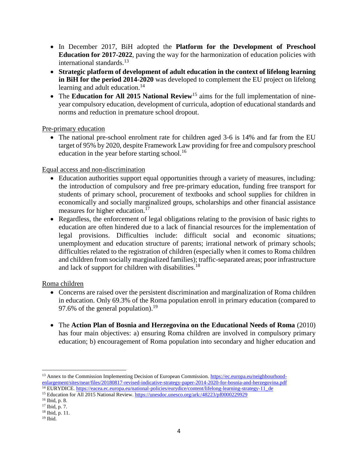- In December 2017, BiH adopted the **Platform for the Development of Preschool Education for 2017-2022**, paving the way for the harmonization of education policies with international standards. 13
- **Strategic platform of development of adult education in the context of lifelong learning in BiH for the period 2014-2020** was developed to complement the EU project on lifelong learning and adult education.<sup>14</sup>
- The **Education for All 2015 National Review**<sup>15</sup> aims for the full implementation of nineyear compulsory education, development of curricula, adoption of educational standards and norms and reduction in premature school dropout.

Pre-primary education

• The national pre-school enrolment rate for children aged 3-6 is 14% and far from the EU target of 95% by 2020, despite Framework Law providing for free and compulsory preschool education in the year before starting school.<sup>16</sup>

Equal access and non-discrimination

- Education authorities support equal opportunities through a variety of measures, including: the introduction of compulsory and free pre-primary education, funding free transport for students of primary school, procurement of textbooks and school supplies for children in economically and socially marginalized groups, scholarships and other financial assistance measures for higher education.<sup>17</sup>
- Regardless, the enforcement of legal obligations relating to the provision of basic rights to education are often hindered due to a lack of financial resources for the implementation of legal provisions. Difficulties include: difficult social and economic situations; unemployment and education structure of parents; irrational network of primary schools; difficulties related to the registration of children (especially when it comes to Roma children and children from socially marginalized families); traffic-separated areas; poor infrastructure and lack of support for children with disabilities.<sup>18</sup>

Roma children

- Concerns are raised over the persistent discrimination and marginalization of Roma children in education. Only 69.3% of the Roma population enroll in primary education (compared to 97.6% of the general population).<sup>19</sup>
- The **Action Plan of Bosnia and Herzegovina on the Educational Needs of Roma** (2010) has four main objectives: a) ensuring Roma children are involved in compulsory primary education; b) encouragement of Roma population into secondary and higher education and

 $\overline{\phantom{a}}$ <sup>13</sup> Annex to the Commission Implementing Decision of European Commission. [https://ec.europa.eu/neighbourhood](https://ec.europa.eu/neighbourhood-enlargement/sites/near/files/20180817-revised-indicative-strategy-paper-2014-2020-for-bosnia-and-herzegovina.pdf)[enlargement/sites/near/files/20180817-revised-indicative-strategy-paper-2014-2020-for-bosnia-and-herzegovina.pdf](https://ec.europa.eu/neighbourhood-enlargement/sites/near/files/20180817-revised-indicative-strategy-paper-2014-2020-for-bosnia-and-herzegovina.pdf)

<sup>&</sup>lt;sup>14</sup> EURYDICE[. https://eacea.ec.europa.eu/national-policies/eurydice/content/lifelong-learning-strategy-11\\_de](https://eacea.ec.europa.eu/national-policies/eurydice/content/lifelong-learning-strategy-11_de)

<sup>15</sup> Education for All 2015 National Review.<https://unesdoc.unesco.org/ark:/48223/pf0000229929>

<sup>16</sup> Ibid, p. 8.

<sup>17</sup> Ibid, p. 7.

<sup>18</sup> Ibid, p. 11.

<sup>19</sup> Ibid.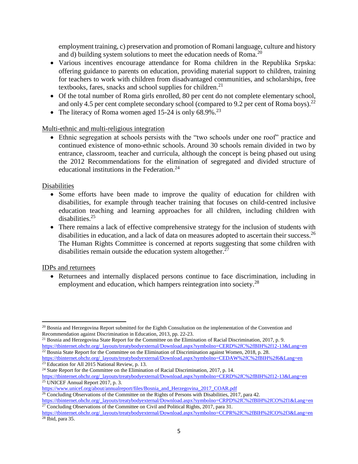employment training, c) preservation and promotion of Romani language, culture and history and d) building system solutions to meet the education needs of Roma.<sup>20</sup>

- Various incentives encourage attendance for Roma children in the Republika Srpska: offering guidance to parents on education, providing material support to children, training for teachers to work with children from disadvantaged communities, and scholarships, free textbooks, fares, snacks and school supplies for children.<sup>21</sup>
- Of the total number of Roma girls enrolled, 80 per cent do not complete elementary school, and only 4.5 per cent complete secondary school (compared to 9.2 per cent of Roma boys).<sup>22</sup>
- The literacy of Roma women aged 15-24 is only  $68.9\%$ <sup>23</sup>

#### Multi-ethnic and multi-religious integration

 Ethnic segregation at schools persists with the "two schools under one roof" practice and continued existence of mono-ethnic schools. Around 30 schools remain divided in two by entrance, classroom, teacher and curricula, although the concept is being phased out using the 2012 Recommendations for the elimination of segregated and divided structure of educational institutions in the Federation. $^{24}$ 

#### Disabilities

- Some efforts have been made to improve the quality of education for children with disabilities, for example through teacher training that focuses on child-centred inclusive education teaching and learning approaches for all children, including children with disabilities. $25$
- There remains a lack of effective comprehensive strategy for the inclusion of students with disabilities in education, and a lack of data on measures adopted to ascertain their success.<sup>26</sup> The Human Rights Committee is concerned at reports suggesting that some children with disabilities remain outside the education system altogether. $27$

#### IDPs and returnees

 Returnees and internally displaced persons continue to face discrimination, including in employment and education, which hampers reintegration into society.<sup>28</sup>

 $27$  Concluding Observations of the Committee on Civil and Political Rights, 2017, para 31.

 $\overline{a}$ <sup>20</sup> Bosnia and Herzegovina Report submitted for the Eighth Consultation on the implementation of the Convention and Recommendation against Discrimination in Education, 2013, pp. 22-23.

<sup>&</sup>lt;sup>21</sup> Bosnia and Herzegovina State Report for the Committee on the Elimination of Racial Discrimination, 2017, p. 9. [https://tbinternet.ohchr.org/\\_layouts/treatybodyexternal/Download.aspx?symbolno=CERD%2fC%2fBIH%2f12-13&Lang=en](https://tbinternet.ohchr.org/_layouts/treatybodyexternal/Download.aspx?symbolno=CERD%2fC%2fBIH%2f12-13&Lang=en)

 $22$  Bosnia State Report for the Committee on the Elimination of Discrimination against Women, 2018, p. 28.

[https://tbinternet.ohchr.org/\\_layouts/treatybodyexternal/Download.aspx?symbolno=CEDAW%2fC%2fBIH%2f6&Lang=en](https://tbinternet.ohchr.org/_layouts/treatybodyexternal/Download.aspx?symbolno=CEDAW%2fC%2fBIH%2f6&Lang=en) <sup>23</sup> Education for All 2015 National Review, p. 13.

<sup>&</sup>lt;sup>24</sup> State Report for the Committee on the Elimination of Racial Discrimination, 2017, p. 14.

[https://tbinternet.ohchr.org/\\_layouts/treatybodyexternal/Download.aspx?symbolno=CERD%2fC%2fBIH%2f12-13&Lang=en](https://tbinternet.ohchr.org/_layouts/treatybodyexternal/Download.aspx?symbolno=CERD%2fC%2fBIH%2f12-13&Lang=en) <sup>25</sup> UNICEF Annual Report 2017, p. 3.

[https://www.unicef.org/about/annualreport/files/Bosnia\\_and\\_Herzegovina\\_2017\\_COAR.pdf](https://www.unicef.org/about/annualreport/files/Bosnia_and_Herzegovina_2017_COAR.pdf)

 $\frac{26}{26}$  Concluding Observations of the Committee on the Rights of Persons with Disabilities, 2017, para 42. [https://tbinternet.ohchr.org/\\_layouts/treatybodyexternal/Download.aspx?symbolno=CRPD%2fC%2fBIH%2fCO%2f1&Lang=en](https://tbinternet.ohchr.org/_layouts/treatybodyexternal/Download.aspx?symbolno=CRPD%2fC%2fBIH%2fCO%2f1&Lang=en)

[https://tbinternet.ohchr.org/\\_layouts/treatybodyexternal/Download.aspx?symbolno=CCPR%2fC%2fBIH%2fCO%2f3&Lang=en](https://tbinternet.ohchr.org/_layouts/treatybodyexternal/Download.aspx?symbolno=CCPR%2fC%2fBIH%2fCO%2f3&Lang=en)  $28$  Ibid, para 35.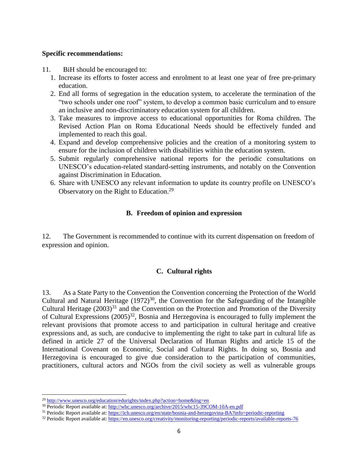#### **Specific recommendations:**

- 11. BiH should be encouraged to:
	- 1. Increase its efforts to foster access and enrolment to at least one year of free pre-primary education.
	- 2. End all forms of segregation in the education system, to accelerate the termination of the "two schools under one roof" system, to develop a common basic curriculum and to ensure an inclusive and non-discriminatory education system for all children.
	- 3. Take measures to improve access to educational opportunities for Roma children. The Revised Action Plan on Roma Educational Needs should be effectively funded and implemented to reach this goal.
	- 4. Expand and develop comprehensive policies and the creation of a monitoring system to ensure for the inclusion of children with disabilities within the education system.
	- 5. Submit regularly comprehensive national reports for the periodic consultations on UNESCO's education-related standard-setting instruments, and notably on the Convention against Discrimination in Education.
	- 6. Share with UNESCO any relevant information to update its country profile on UNESCO's Observatory on the Right to Education.<sup>29</sup>

#### **B. Freedom of opinion and expression**

12. The Government is recommended to continue with its current dispensation on freedom of expression and opinion.

#### **C. Cultural rights**

13. As a State Party to the Convention the Convention concerning the Protection of the World Cultural and Natural Heritage  $(1972)^{30}$ , the Convention for the Safeguarding of the Intangible Cultural Heritage  $(2003)^{31}$  and the Convention on the Protection and Promotion of the Diversity of Cultural Expressions  $(2005)^{32}$ , Bosnia and Herzegovina is encouraged to fully implement the relevant provisions that promote access to and participation in cultural heritage and creative expressions and, as such, are conducive to implementing the right to take part in cultural life as defined in article 27 of the Universal Declaration of Human Rights and article 15 of the International Covenant on Economic, Social and Cultural Rights. In doing so, Bosnia and Herzegovina is encouraged to give due consideration to the participation of communities, practitioners, cultural actors and NGOs from the civil society as well as vulnerable groups

l

<sup>29</sup> <http://www.unesco.org/education/edurights/index.php?action=home&lng=en>

<sup>&</sup>lt;sup>30</sup> Periodic Report available at:<http://whc.unesco.org/archive/2015/whc15-39COM-10A-en.pdf>

<sup>&</sup>lt;sup>31</sup> Periodic Report available at:<https://ich.unesco.org/en/state/bosnia-and-herzegovina-BA?info=periodic-reporting>

<sup>&</sup>lt;sup>32</sup> Periodic Report available at:<https://en.unesco.org/creativity/monitoring-reporting/periodic-reports/available-reports-76>